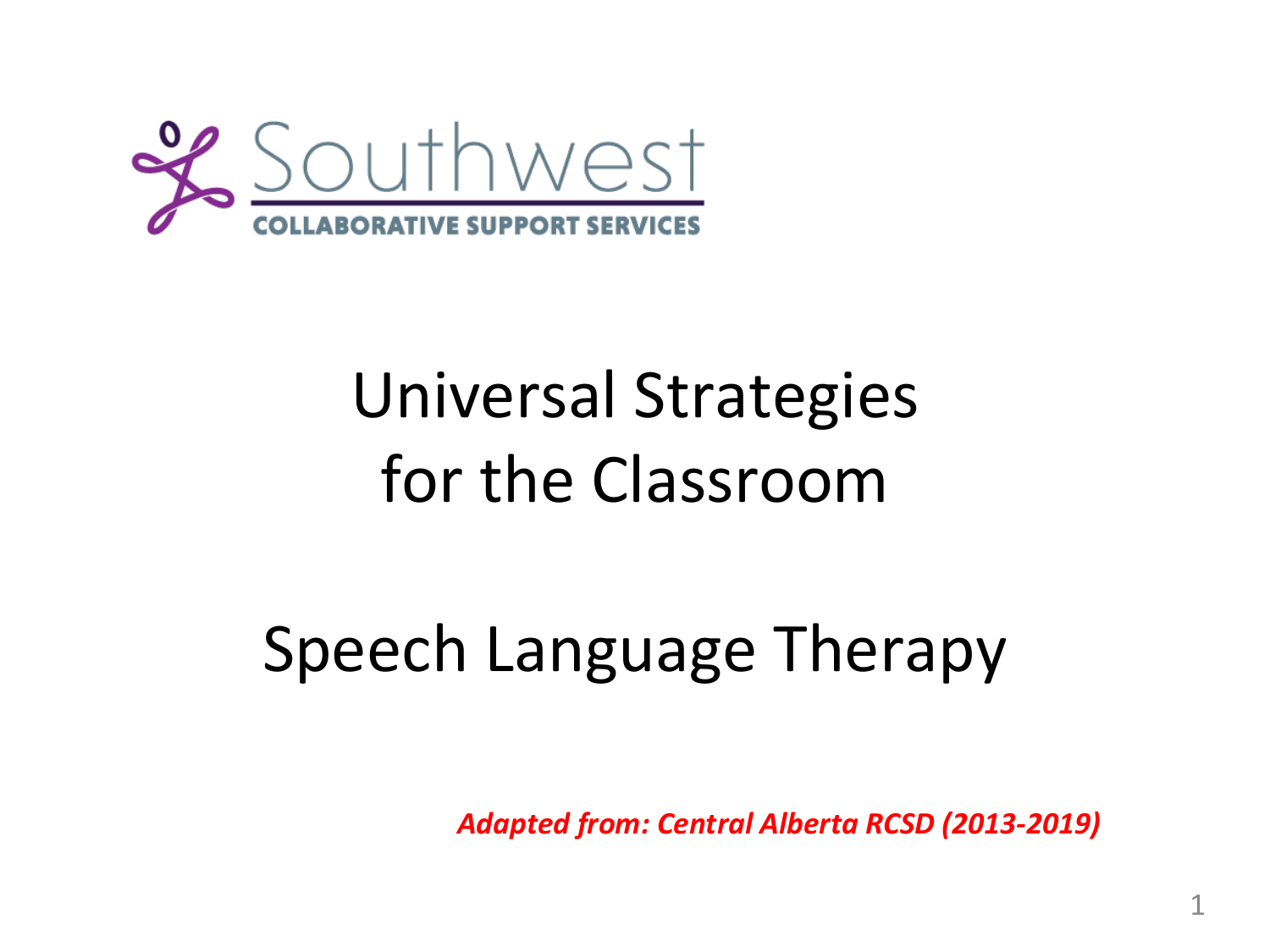

# Universal Strategies for the Classroom

# Speech Language Therapy

*Adapted from: Central Alberta RCSD (2013-2019)*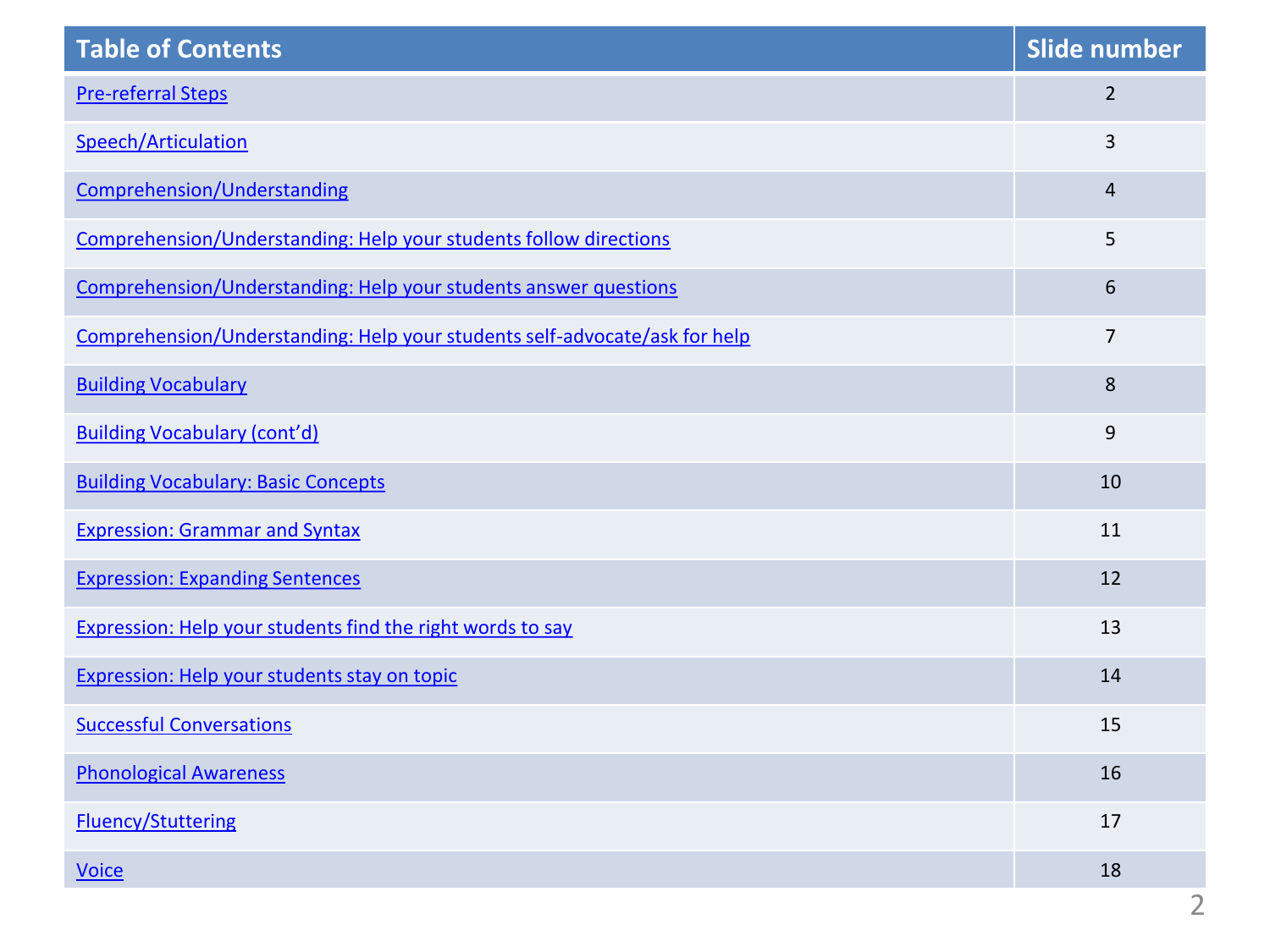<span id="page-1-0"></span>

| <b>Table of Contents</b>                                                   | Slide number   |
|----------------------------------------------------------------------------|----------------|
| <b>Pre-referral Steps</b>                                                  | $\overline{2}$ |
| Speech/Articulation                                                        | 3              |
| Comprehension/Understanding                                                | $\overline{4}$ |
| Comprehension/Understanding: Help your students follow directions          | 5              |
| Comprehension/Understanding: Help your students answer questions           | 6              |
| Comprehension/Understanding: Help your students self-advocate/ask for help | $\overline{7}$ |
| <b>Building Vocabulary</b>                                                 | 8              |
| <b>Building Vocabulary (cont'd)</b>                                        | 9              |
| <b>Building Vocabulary: Basic Concepts</b>                                 | 10             |
| <b>Expression: Grammar and Syntax</b>                                      | 11             |
| <b>Expression: Expanding Sentences</b>                                     | 12             |
| Expression: Help your students find the right words to say                 | 13             |
| Expression: Help your students stay on topic                               | 14             |
| <b>Successful Conversations</b>                                            | 15             |
| <b>Phonological Awareness</b>                                              | 16             |
| <b>Fluency/Stuttering</b>                                                  | 17             |
| <b>Voice</b>                                                               | 18             |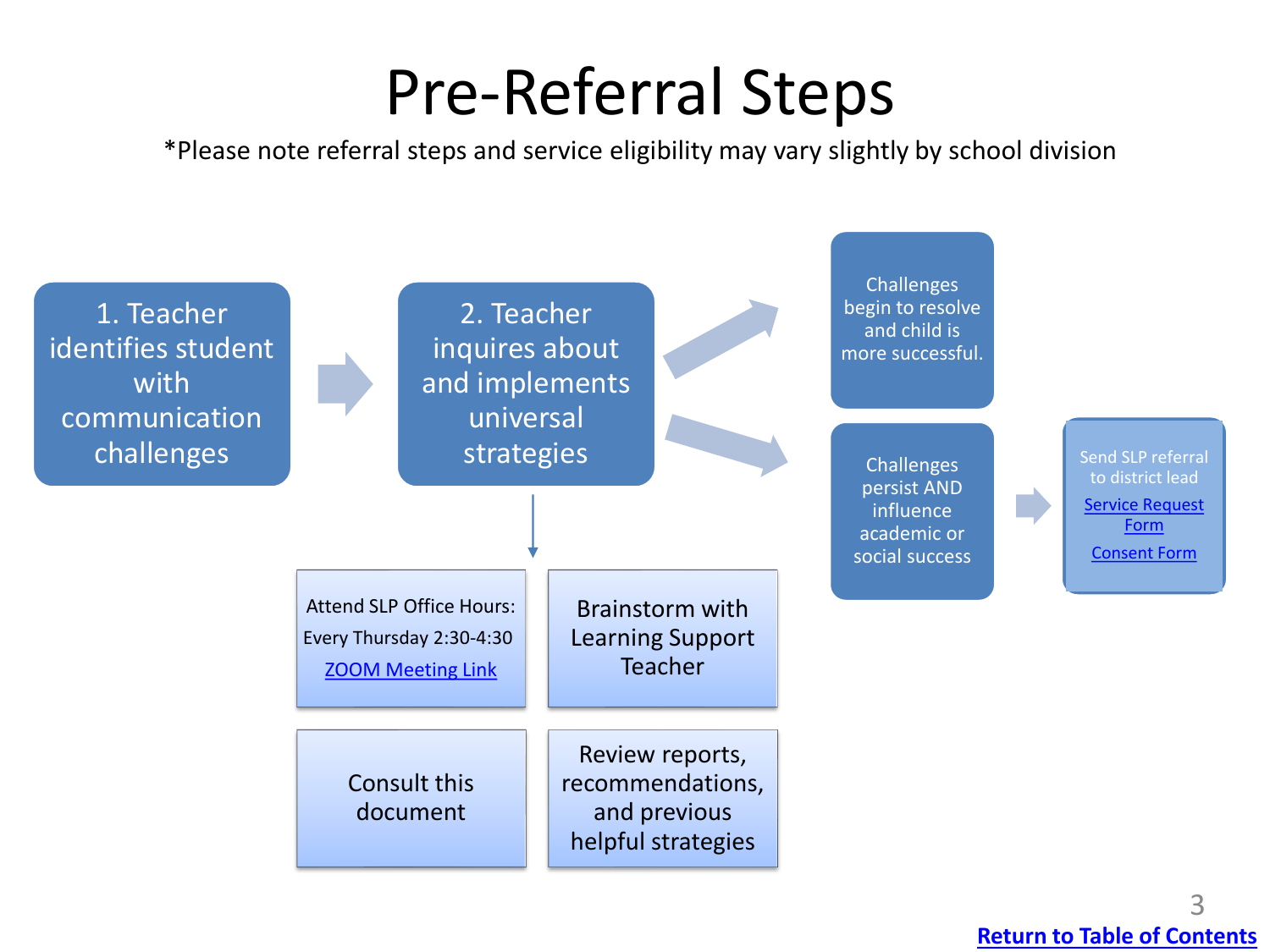# Pre-Referral Steps

<span id="page-2-0"></span>\*Please note referral steps and service eligibility may vary slightly by school division

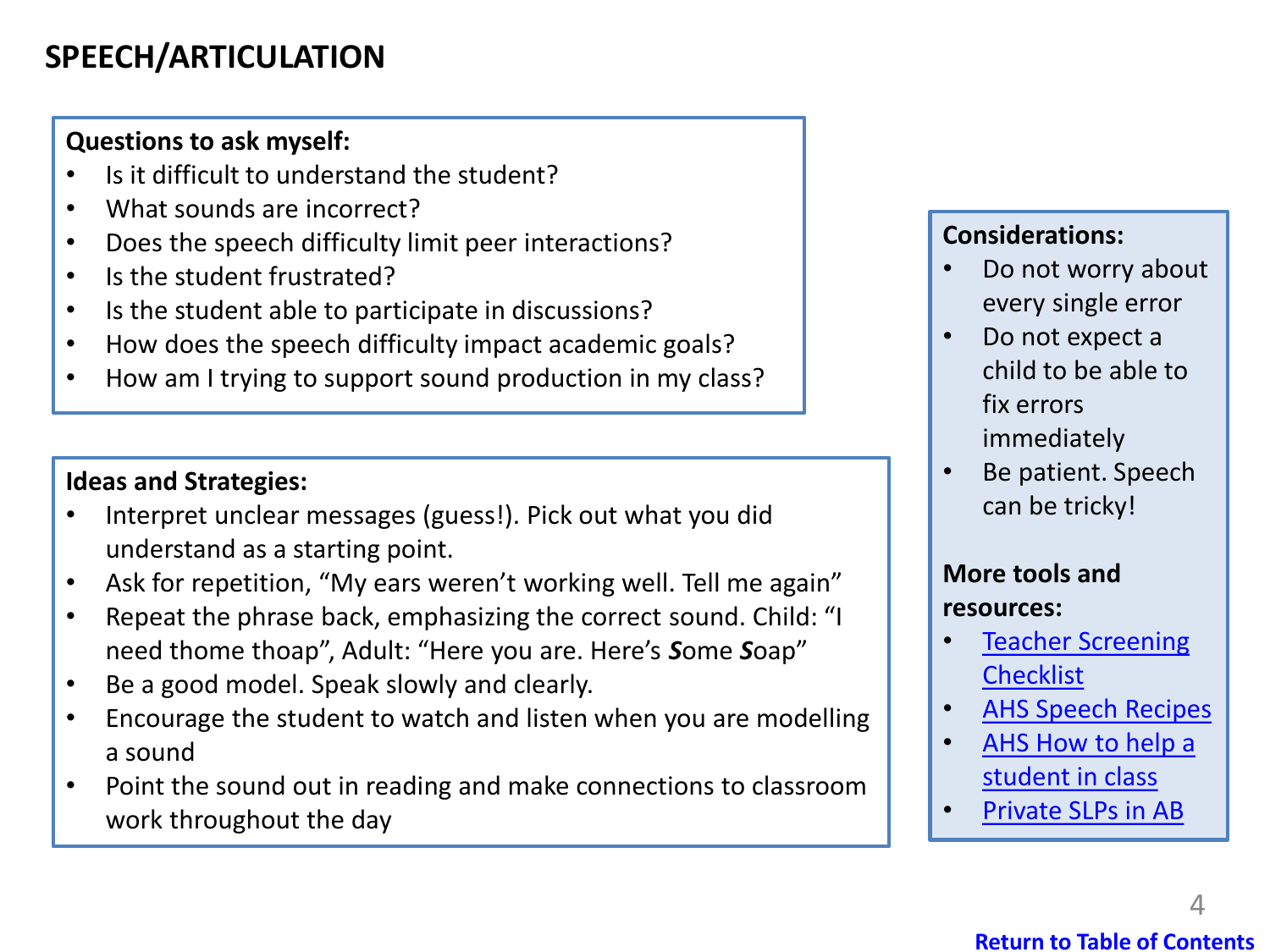## <span id="page-3-0"></span>**SPEECH/ARTICULATION**

#### **Questions to ask myself:**

- Is it difficult to understand the student?
- What sounds are incorrect?
- Does the speech difficulty limit peer interactions?
- Is the student frustrated?
- Is the student able to participate in discussions?
- How does the speech difficulty impact academic goals?
- How am I trying to support sound production in my class?

#### **Ideas and Strategies:**

- Interpret unclear messages (guess!). Pick out what you did understand as a starting point.
- Ask for repetition, "My ears weren't working well. Tell me again"
- Repeat the phrase back, emphasizing the correct sound. Child: "I need thome thoap", Adult: "Here you are. Here's *S*ome *S*oap"
- Be a good model. Speak slowly and clearly.
- Encourage the student to watch and listen when you are modelling a sound
- Point the sound out in reading and make connections to classroom work throughout the day

#### **Considerations:**

- Do not worry about every single error
- Do not expect a child to be able to fix errors immediately
- Be patient. Speech can be tricky!

#### **More tools and resources:**

- [Teacher Screening](https://swcss.ca/wp-content/uploads/2020/10/School-Screening-for-Speech-Sound-Errors.pdf)  **Checklist**
- [AHS Speech Recipes](https://swcss.ca/wp-content/uploads/2020/10/Sound-Recipes.pdf)
- [AHS How to help a](https://swcss.ca/wp-content/uploads/2020/10/How-to-Help-a-Student-in-Class.pdf)  student in class
- [Private SLPs in AB](https://asapp.ca/)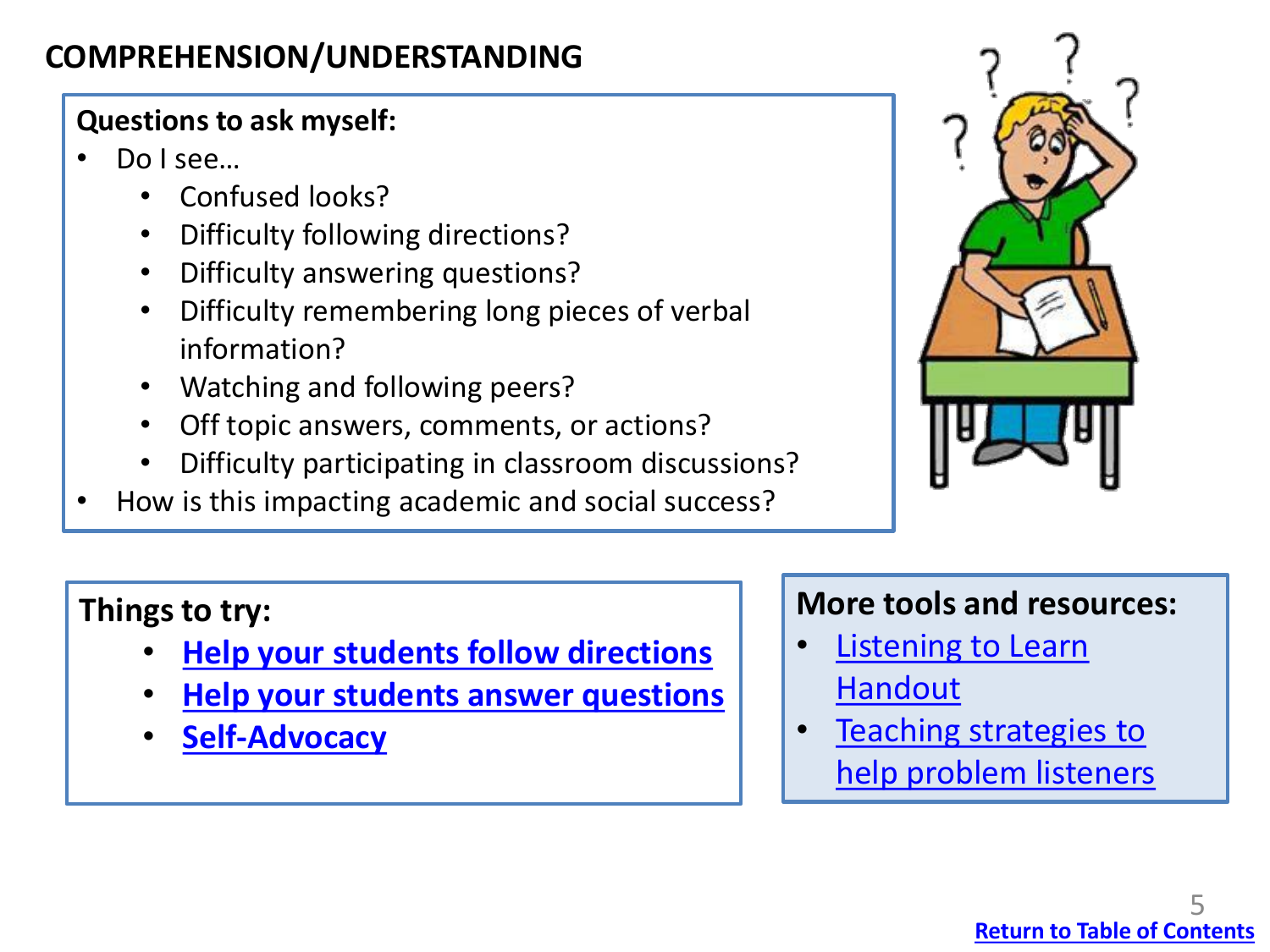## <span id="page-4-0"></span>**COMPREHENSION/UNDERSTANDING**

## **Questions to ask myself:**

- Do I see…
	- Confused looks?
	- Difficulty following directions?
	- Difficulty answering questions?
	- Difficulty remembering long pieces of verbal information?
	- Watching and following peers?
	- Off topic answers, comments, or actions?
	- Difficulty participating in classroom discussions?
- How is this impacting academic and social success?



## **Things to try:**

- **[Help your students follow directions](#page-5-0)**
- **[Help your students answer questions](#page-6-0)**
- **[Self-Advocacy](#page-7-0)**

## **More tools and resources:**

- **Listening to Learn** Handout
- Teaching strategies to help problem listeners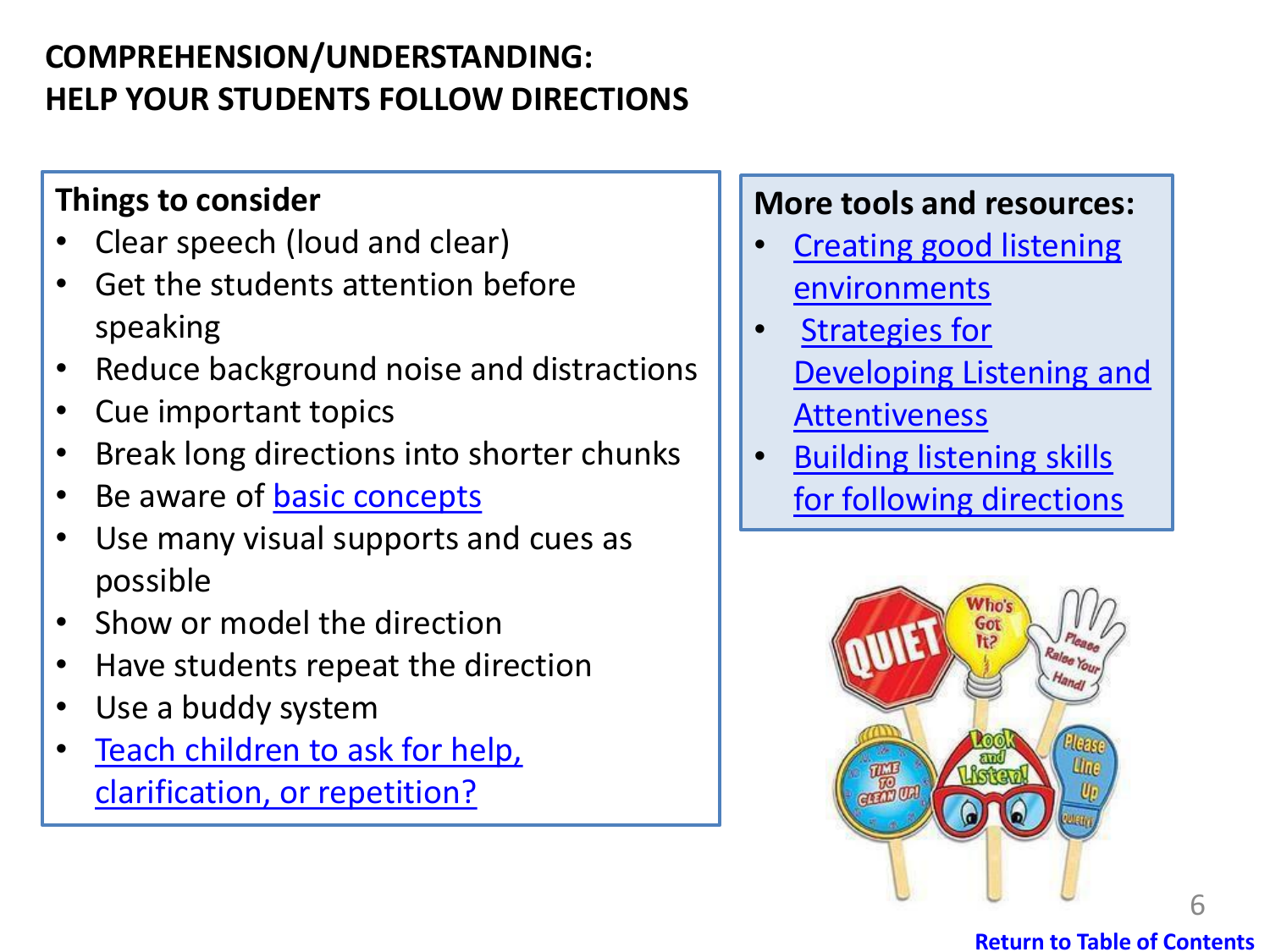## <span id="page-5-0"></span>**COMPREHENSION/UNDERSTANDING: HELP YOUR STUDENTS FOLLOW DIRECTIONS**

## **Things to consider**

- Clear speech (loud and clear)
- Get the students attention before speaking
- Reduce background noise and distractions
- Cue important topics
- Break long directions into shorter chunks
- Be aware of [basic concepts](#page-10-0)
- Use many visual supports and cues as possible
- Show or model the direction
- Have students repeat the direction
- Use a buddy system
- [Teach children to ask for help,](#page-7-0) clarification, or repetition?

## **More tools and resources:**

- **Creating good listening** environments
- **Strategies for** [Developing Listening and](https://swcss.ca/wp-content/uploads/2020/10/Strategies-for-developing-listening-and-attentiveness.pdf)  **Attentiveness**
- Building listening skills for following directions



#### **[Return to Table of Contents](#page-1-0)**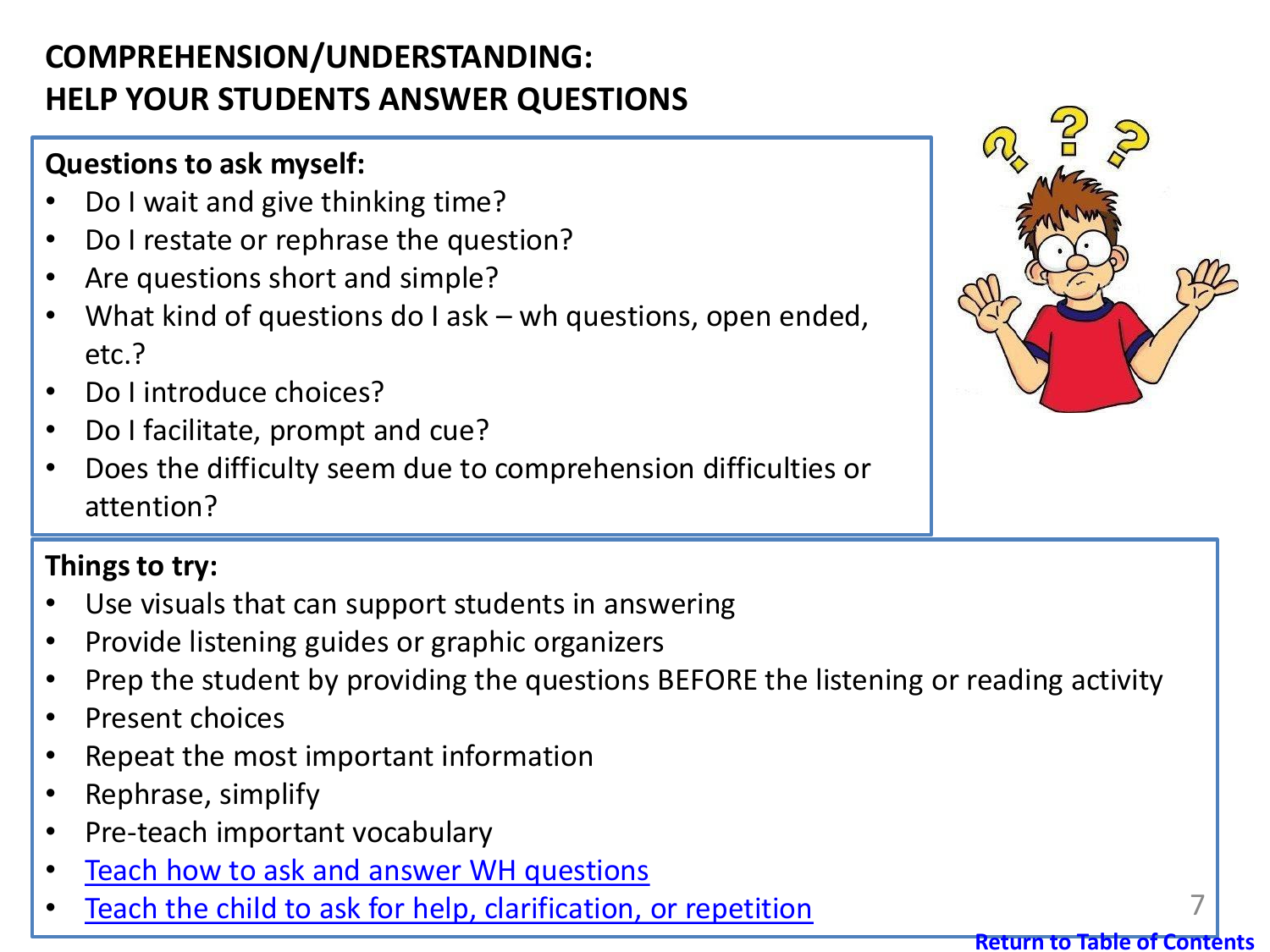## <span id="page-6-0"></span>**COMPREHENSION/UNDERSTANDING: HELP YOUR STUDENTS ANSWER QUESTIONS**

## **Questions to ask myself:**

- Do I wait and give thinking time?
- Do I restate or rephrase the question?
- Are questions short and simple?
- What kind of questions do I ask wh questions, open ended, etc.?
- Do I introduce choices?
- Do I facilitate, prompt and cue?
- Does the difficulty seem due to comprehension difficulties or attention?

## **Things to try:**

- Use visuals that can support students in answering
- Provide listening guides or graphic organizers
- Prep the student by providing the questions BEFORE the listening or reading activity
- Present choices
- Repeat the most important information
- Rephrase, simplify
- Pre-teach important vocabulary
- [Teach how to ask and answer WH questions](https://swcss.ca/wp-content/uploads/2020/10/Supporting-Expansion.pdf)
- [Teach the child to ask for help, clarification, or repetition](#page-7-0)

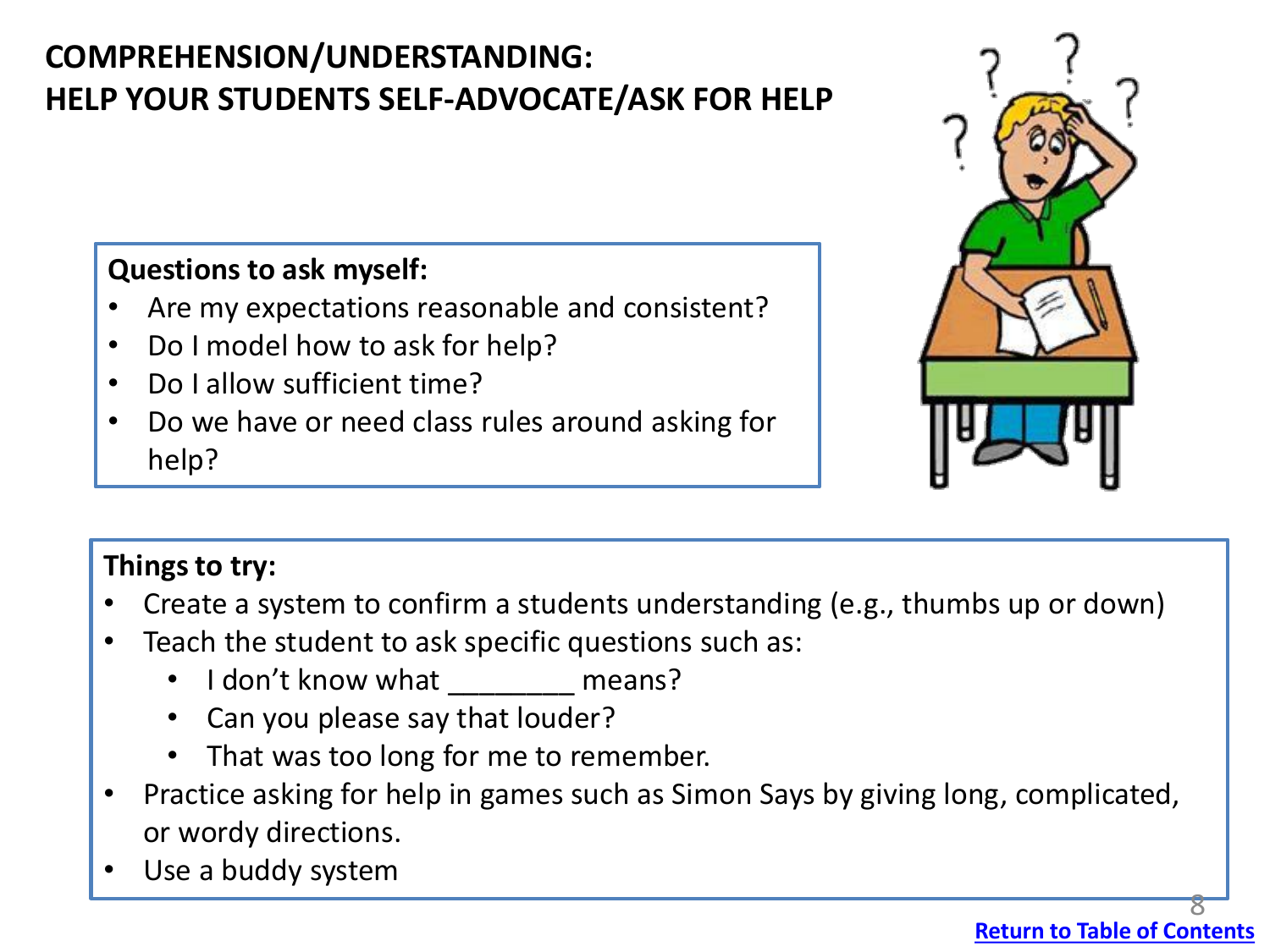# <span id="page-7-0"></span>**COMPREHENSION/UNDERSTANDING: HELP YOUR STUDENTS SELF-ADVOCATE/ASK FOR HELP**

### **Questions to ask myself:**

- Are my expectations reasonable and consistent?
- Do I model how to ask for help?
- Do I allow sufficient time?
- Do we have or need class rules around asking for help?



## **Things to try:**

- Create a system to confirm a students understanding (e.g., thumbs up or down)
- Teach the student to ask specific questions such as:
	- I don't know what \_\_\_\_\_\_\_\_ means?
	- Can you please say that louder?
	- That was too long for me to remember.
- Practice asking for help in games such as Simon Says by giving long, complicated, or wordy directions.
- Use a buddy system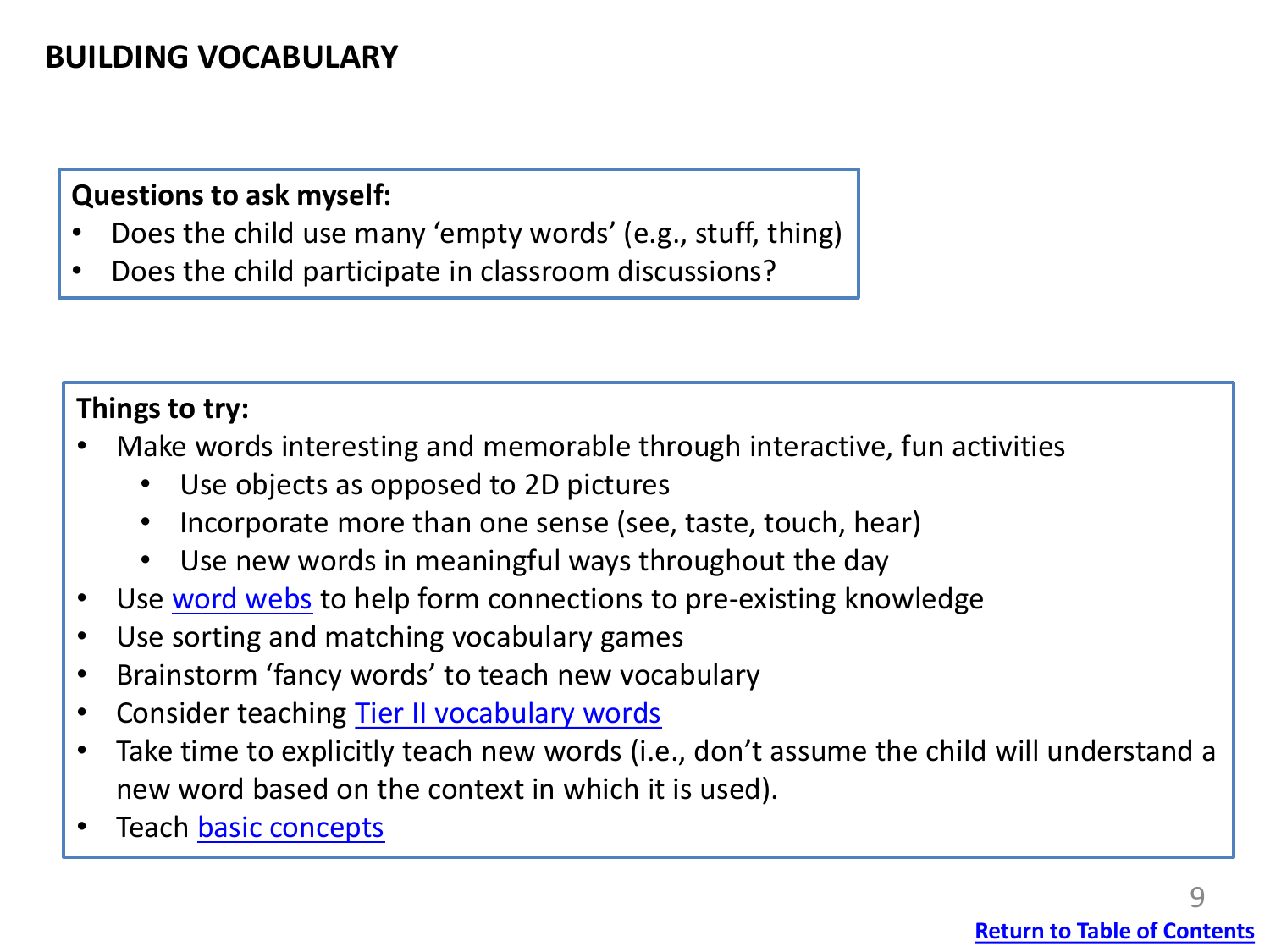## <span id="page-8-0"></span>**BUILDING VOCABULARY**

#### **Questions to ask myself:**

- Does the child use many 'empty words' (e.g., stuff, thing)
- Does the child participate in classroom discussions?

#### **Things to try:**

- Make words interesting and memorable through interactive, fun activities
	- Use objects as opposed to 2D pictures
	- Incorporate more than one sense (see, taste, touch, hear)
	- Use new words in meaningful ways throughout the day
- Use [word webs](https://swcss.ca/wp-content/uploads/2020/10/Supporting-Expansion.pdf) to help form connections to pre-existing knowledge
- Use sorting and matching vocabulary games
- Brainstorm 'fancy words' to teach new vocabulary
- Consider teaching [Tier II vocabulary words](https://swcss.ca/wp-content/uploads/2020/10/Three-Tiers-of-Vocabulary-and-Education.pdf)
- Take time to explicitly teach new words (i.e., don't assume the child will understand a new word based on the context in which it is used).
- Teach [basic concepts](#page-10-0)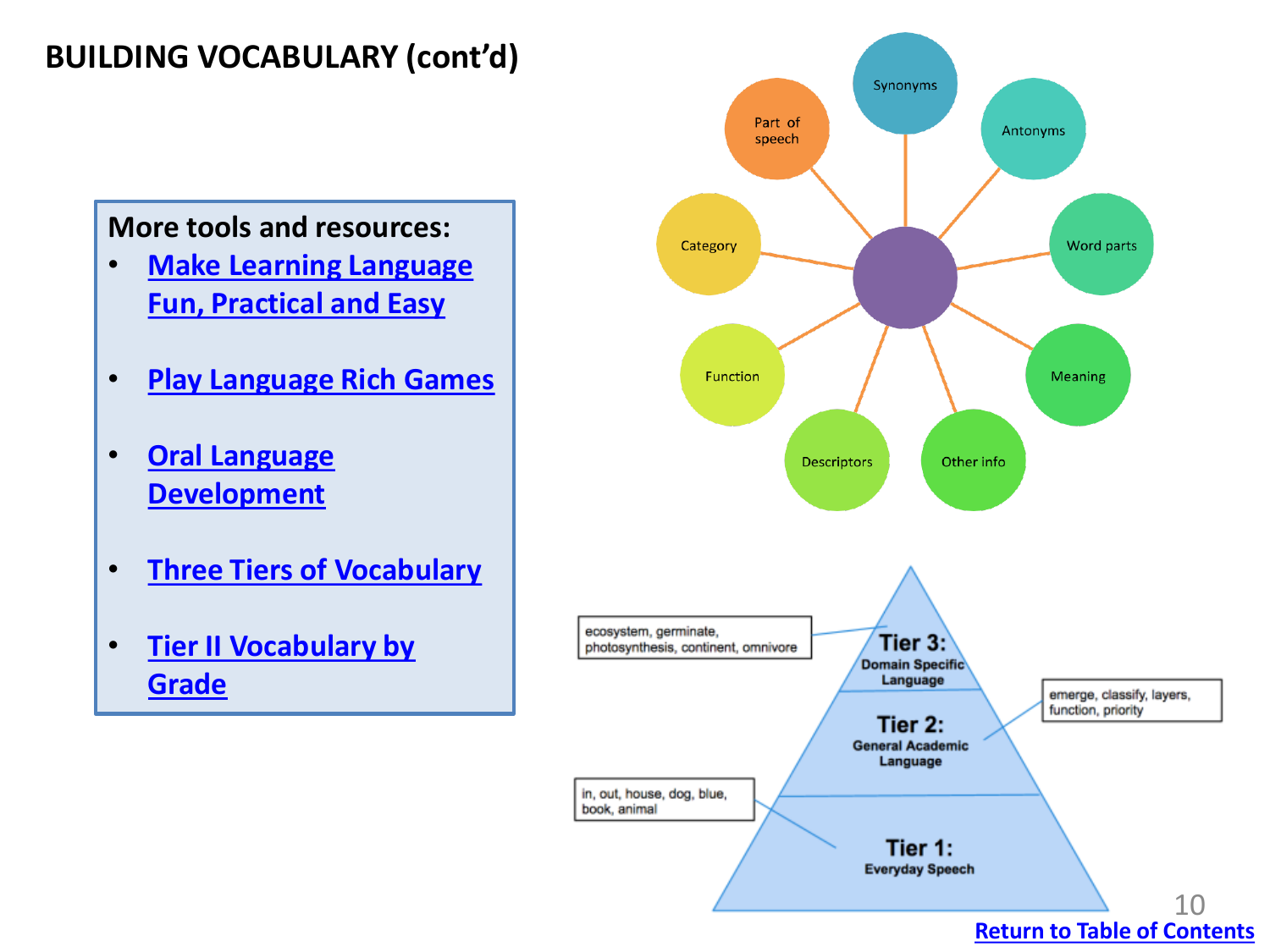## <span id="page-9-0"></span>**BUILDING VOCABULARY (cont'd)**

#### **More tools and resources:**

- **[Make Learning Language](https://swcss.ca/wp-content/uploads/2020/10/Make-Learning-Language-Practical-Easy-and-Fun.pdf) Fun, Practical and Easy**
- **[Play Language Rich Games](https://open.alberta.ca/dataset/37674715-ad09-451e-b73c-2f4785ab3ece/resource/2546e3f8-ba28-444b-b924-0a2504174e32/download/talk-box-good-times-with-games.pdf)**
- **[Oral Language](https://swcss.ca/wp-content/uploads/2020/10/Oral-Language-Development.pdf)  Development**
- **[Three Tiers of Vocabulary](https://swcss.ca/wp-content/uploads/2020/10/Three-Tiers-of-Vocabulary-and-Education.pdf)**
- **[Tier II Vocabulary by](https://www.hpcsd.org/site/default.aspx?PageType=14&DomainID=27&PageID=16944&ModuleInstanceID=23854&ViewID=1e008a8a-8e8a-4ca0-9472-a8f4a723a4a7&IsMoreExpandedView=True)  Grade**



**[Return to Table of Contents](#page-1-0)**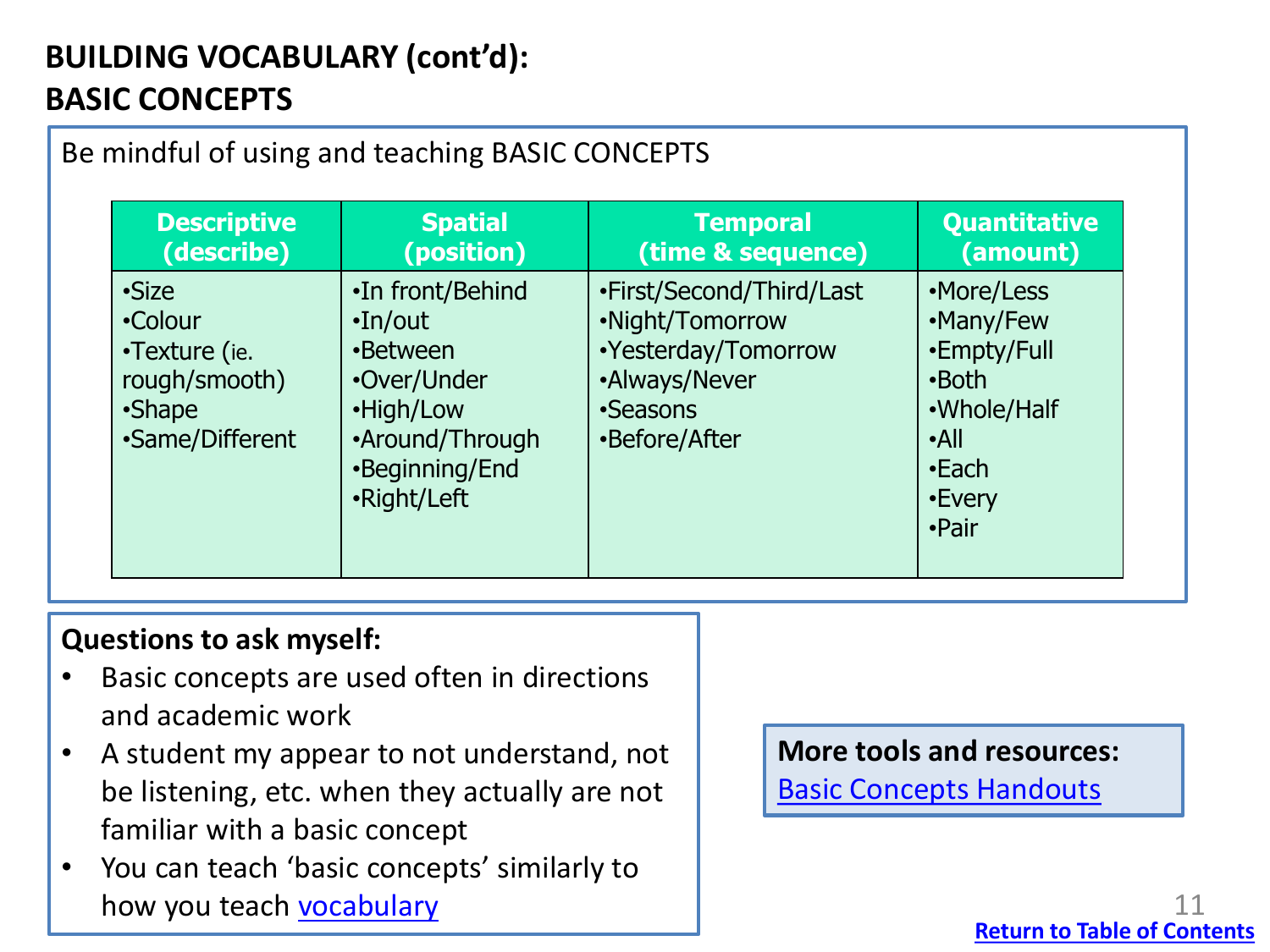## <span id="page-10-0"></span>**BUILDING VOCABULARY (cont'd): BASIC CONCEPTS**

| <b>Descriptive</b>                                                              | <b>Spatial</b>                                                                                                                 | <b>Temporal</b>                                                                                                  | <b>Quantitative</b>                                                                                       |
|---------------------------------------------------------------------------------|--------------------------------------------------------------------------------------------------------------------------------|------------------------------------------------------------------------------------------------------------------|-----------------------------------------------------------------------------------------------------------|
| (describe)                                                                      | (position)                                                                                                                     | (time & sequence)                                                                                                | (amount)                                                                                                  |
| •Size<br>•Colour<br>•Texture (ie.<br>rough/smooth)<br>•Shape<br>•Same/Different | •In front/Behind<br>$\cdot$ In/out<br>•Between<br>•Over/Under<br>•High/Low<br>•Around/Through<br>•Beginning/End<br>•Right/Left | •First/Second/Third/Last<br>•Night/Tomorrow<br>•Yesterday/Tomorrow<br>•Always/Never<br>•Seasons<br>•Before/After | •More/Less<br>•Many/Few<br>•Empty/Full<br>•Both<br>•Whole/Half<br>$\cdot$ All<br>•Each<br>•Every<br>•Pair |

## **Questions to ask myself:**

- Basic concepts are used often in directions and academic work
- A student my appear to not understand, not be listening, etc. when they actually are not familiar with a basic concept
- You can teach 'basic concepts' similarly to how you teach [vocabulary](#page-9-0)

#### **More tools and resources:**

[Basic Concepts Handouts](https://www.superduperinc.com/handouts/pdf/161%20Basic%20Concepts.pdf)

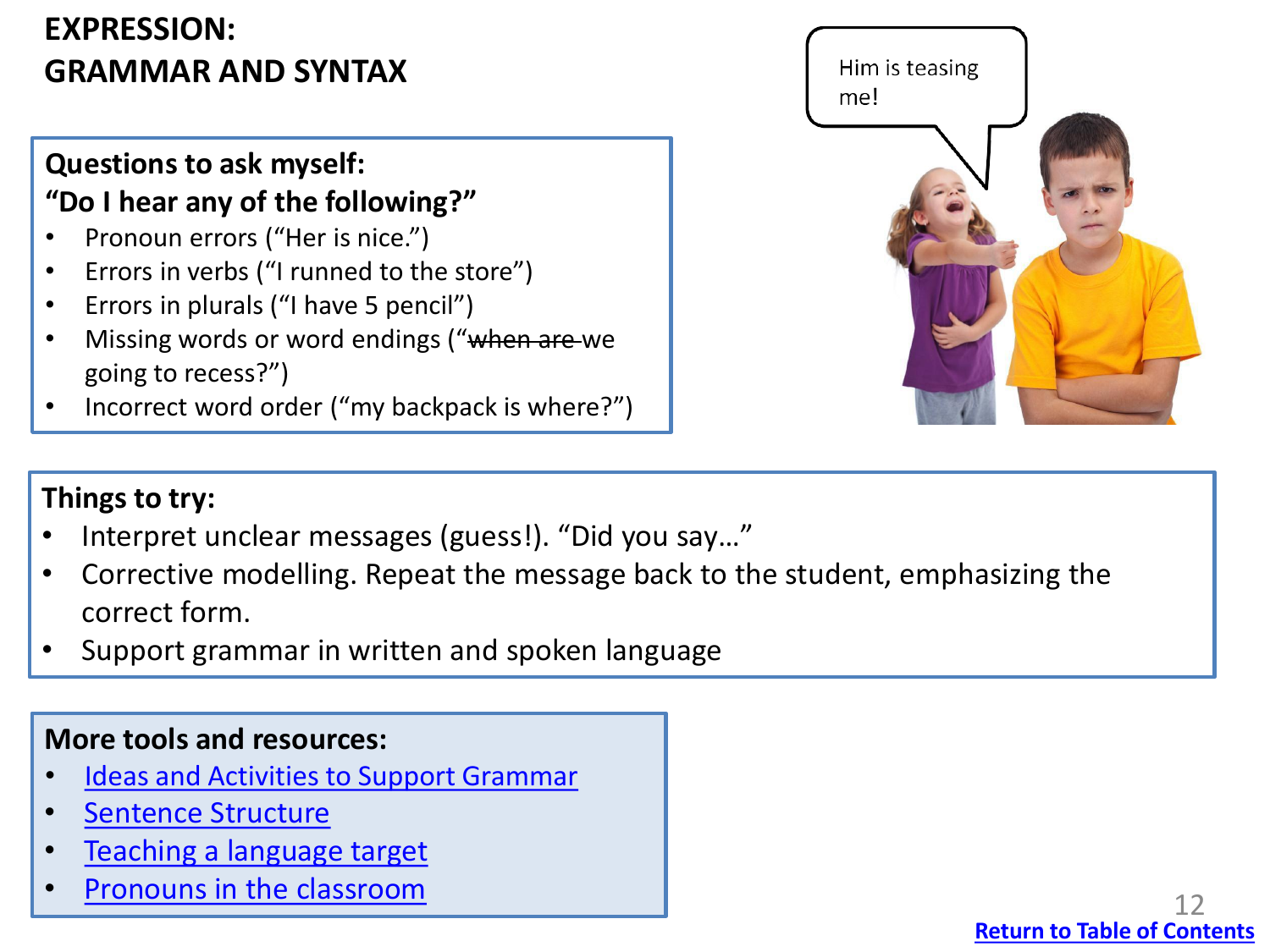## <span id="page-11-0"></span>**EXPRESSION: GRAMMAR AND SYNTAX**

## **Questions to ask myself: "Do I hear any of the following?"**

- Pronoun errors ("Her is nice.")
- Errors in verbs ("I runned to the store")
- Errors in plurals ("I have 5 pencil")
- Missing words or word endings ("when are we going to recess?")
- Incorrect word order ("my backpack is where?")



## **Things to try:**

- Interpret unclear messages (guess!). "Did you say…"
- Corrective modelling. Repeat the message back to the student, emphasizing the correct form.
- Support grammar in written and spoken language

#### **More tools and resources:**

- [Ideas and Activities to Support Grammar](https://swcss.ca/wp-content/uploads/2020/10/CAH-handout-Grammar.pdf)
- **[Sentence Structure](https://swcss.ca/wp-content/uploads/2020/10/Sentence-Structure-1.pdf)**
- [Teaching a language target](https://swcss.ca/wp-content/uploads/2020/10/Teaching-a-Language-Target.pdf)
- Pronouns in the classroom

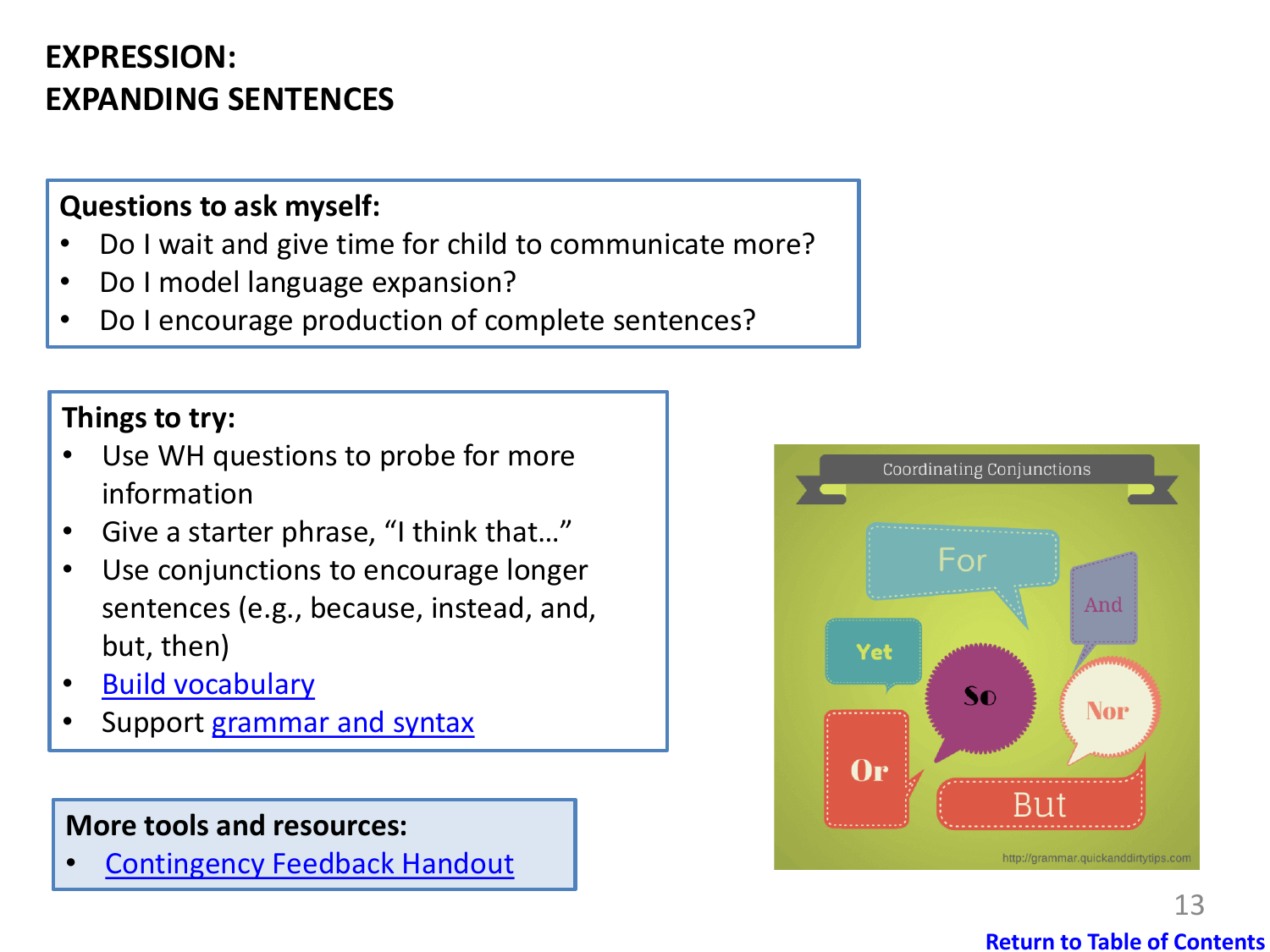## <span id="page-12-0"></span>**EXPRESSION: EXPANDING SENTENCES**

#### **Questions to ask myself:**

- Do I wait and give time for child to communicate more?
- Do I model language expansion?
- Do I encourage production of complete sentences?

#### **Things to try:**

- Use WH questions to probe for more information
- Give a starter phrase, "I think that…"
- Use conjunctions to encourage longer sentences (e.g., because, instead, and, but, then)
- **[Build vocabulary](#page-8-0)**
- Support [grammar and syntax](#page-11-0)

#### **More tools and resources:**

**[Contingency Feedback Handout](https://swcss.ca/wp-content/uploads/2020/10/Contingency-feedback.pdf)** 

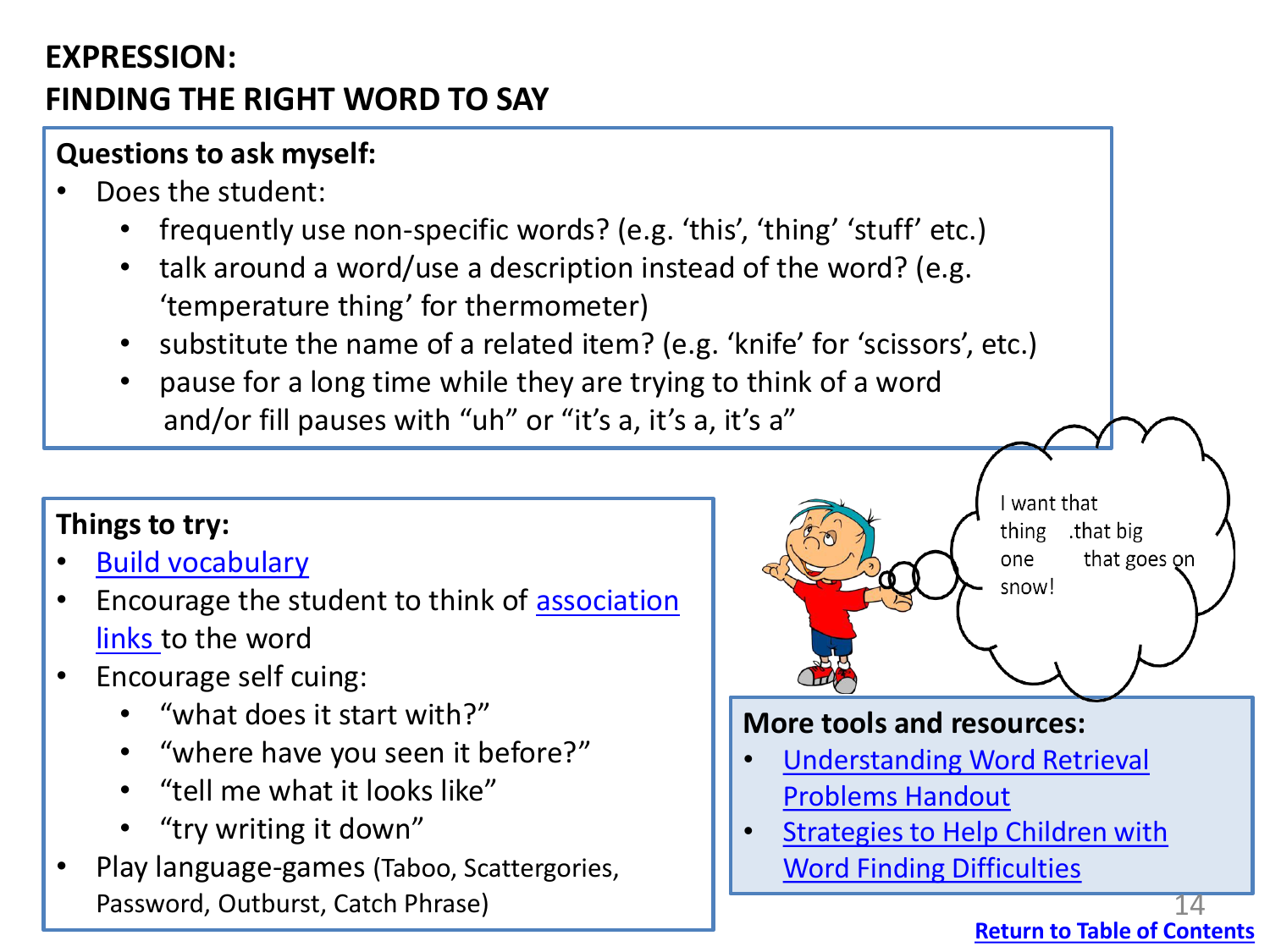## <span id="page-13-0"></span>**EXPRESSION: FINDING THE RIGHT WORD TO SAY**

## **Questions to ask myself:**

- Does the student:
	- frequently use non-specific words? (e.g. 'this', 'thing' 'stuff' etc.)
	- talk around a word/use a description instead of the word? (e.g. 'temperature thing' for thermometer)
	- substitute the name of a related item? (e.g. 'knife' for 'scissors', etc.)
	- pause for a long time while they are trying to think of a word and/or fill pauses with "uh" or "it's a, it's a, it's a"

## **Things to try:**

- [Build vocabulary](#page-8-0)
- [Encourage the student to think of association](https://swcss.ca/wp-content/uploads/2020/10/Word-Finding-Cueing-Strategies.pdf) links to the word
- Encourage self cuing:
	- "what does it start with?"
	- "where have you seen it before?"
	- "tell me what it looks like"
	- "try writing it down"
- Play language-games (Taboo, Scattergories, Password, Outburst, Catch Phrase)



#### **More tools and resources:**

- **Understanding Word Retrieval** Problems Handout
- [Strategies to Help Children with](https://swcss.ca/wp-content/uploads/2020/10/Strategies-to-Support-Children-with-Vocabulary-and-Word-Finding-Difficulties.pdf) Word Finding Difficulties

**[Return to Table of Contents](#page-1-0)**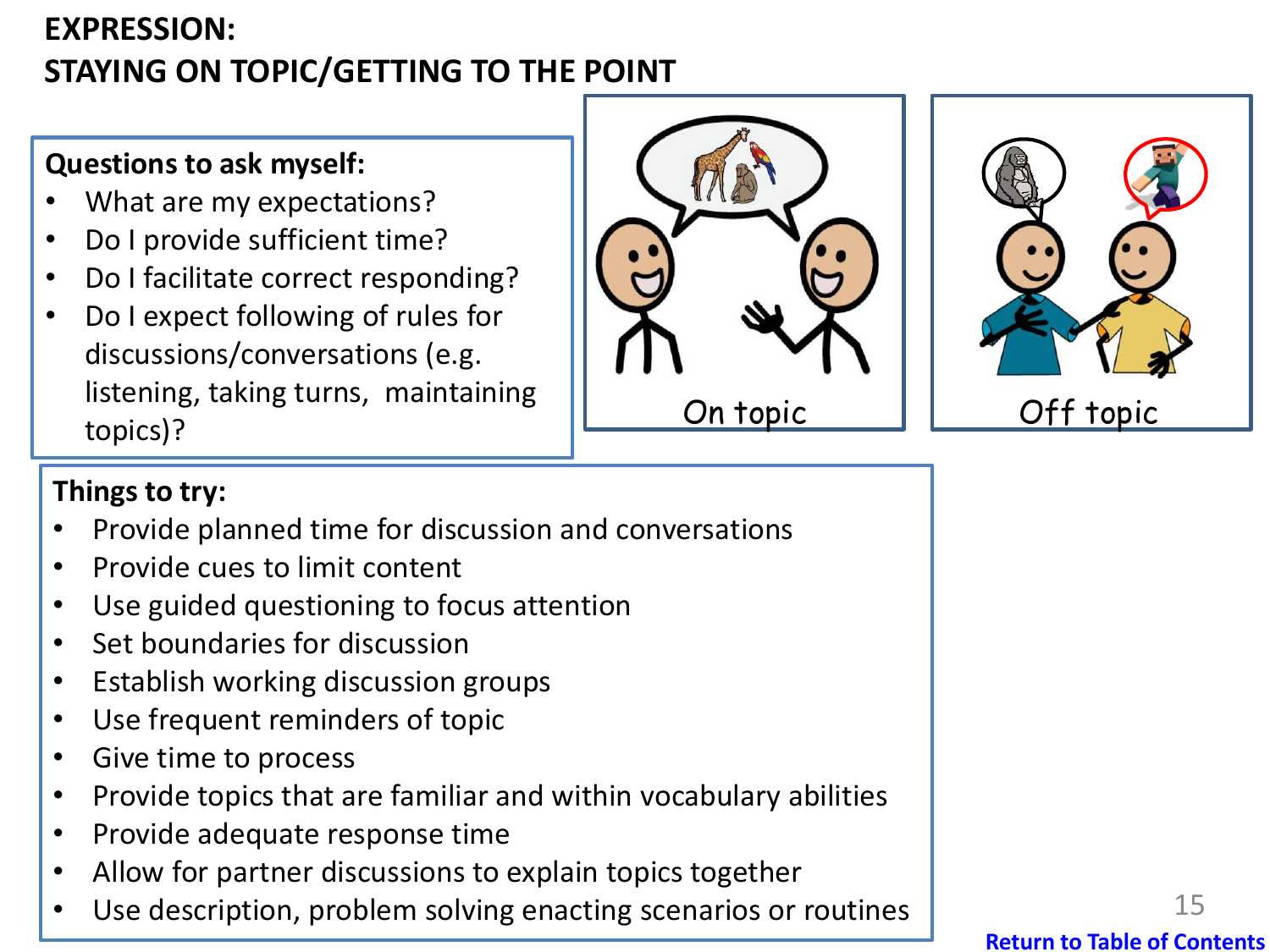## <span id="page-14-0"></span>**EXPRESSION: STAYING ON TOPIC/GETTING TO THE POINT**

## **Questions to ask myself:**

- What are my expectations?
- Do I provide sufficient time?
- Do I facilitate correct responding?
- Do I expect following of rules for discussions/conversations (e.g. listening, taking turns, maintaining topics)?





## **Things to try:**

- Provide planned time for discussion and conversations
- Provide cues to limit content
- Use guided questioning to focus attention
- Set boundaries for discussion
- Establish working discussion groups
- Use frequent reminders of topic
- Give time to process
- Provide topics that are familiar and within vocabulary abilities
- Provide adequate response time
- Allow for partner discussions to explain topics together
- Use description, problem solving enacting scenarios or routines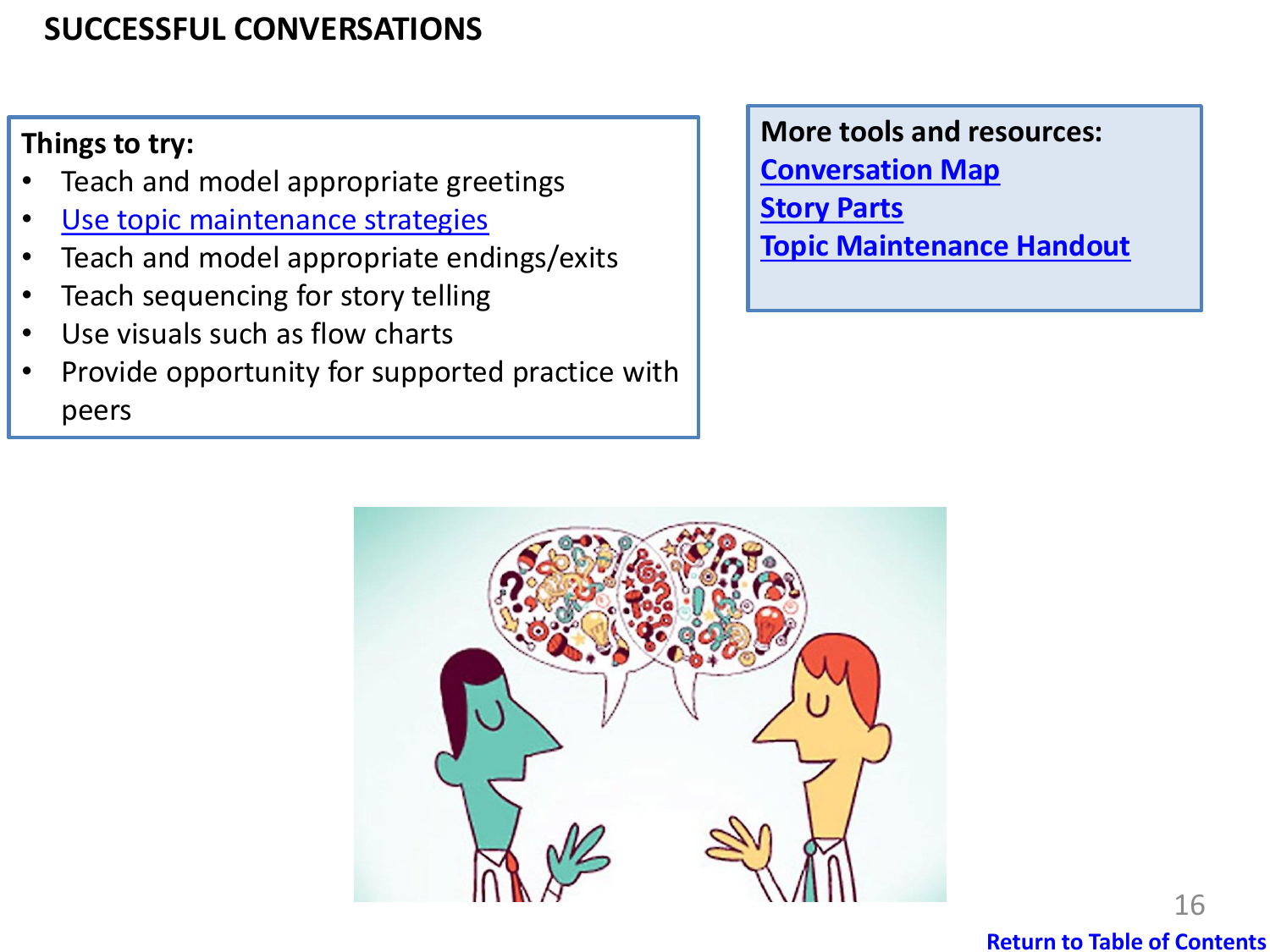## <span id="page-15-0"></span>**SUCCESSFUL CONVERSATIONS**

## **Things to try:**

- Teach and model appropriate greetings
- [Use topic maintenance strategies](#page-14-0)
- Teach and model appropriate endings/exits
- Teach sequencing for story telling
- Use visuals such as flow charts
- Provide opportunity for supported practice with peers

#### **More tools and resources:**

**[Conversation Map](https://swcss.ca/wp-content/uploads/2020/10/Conversation-Map.pdf) [Story Parts](https://www.handyhandouts.com/pdf/295%20Story%20Parts.pdf) [Topic Maintenance Handout](https://www.handyhandouts.com/pdf/345%20Topic%20Maintenance1.pdf)**



#### **[Return to Table of Contents](#page-1-0)**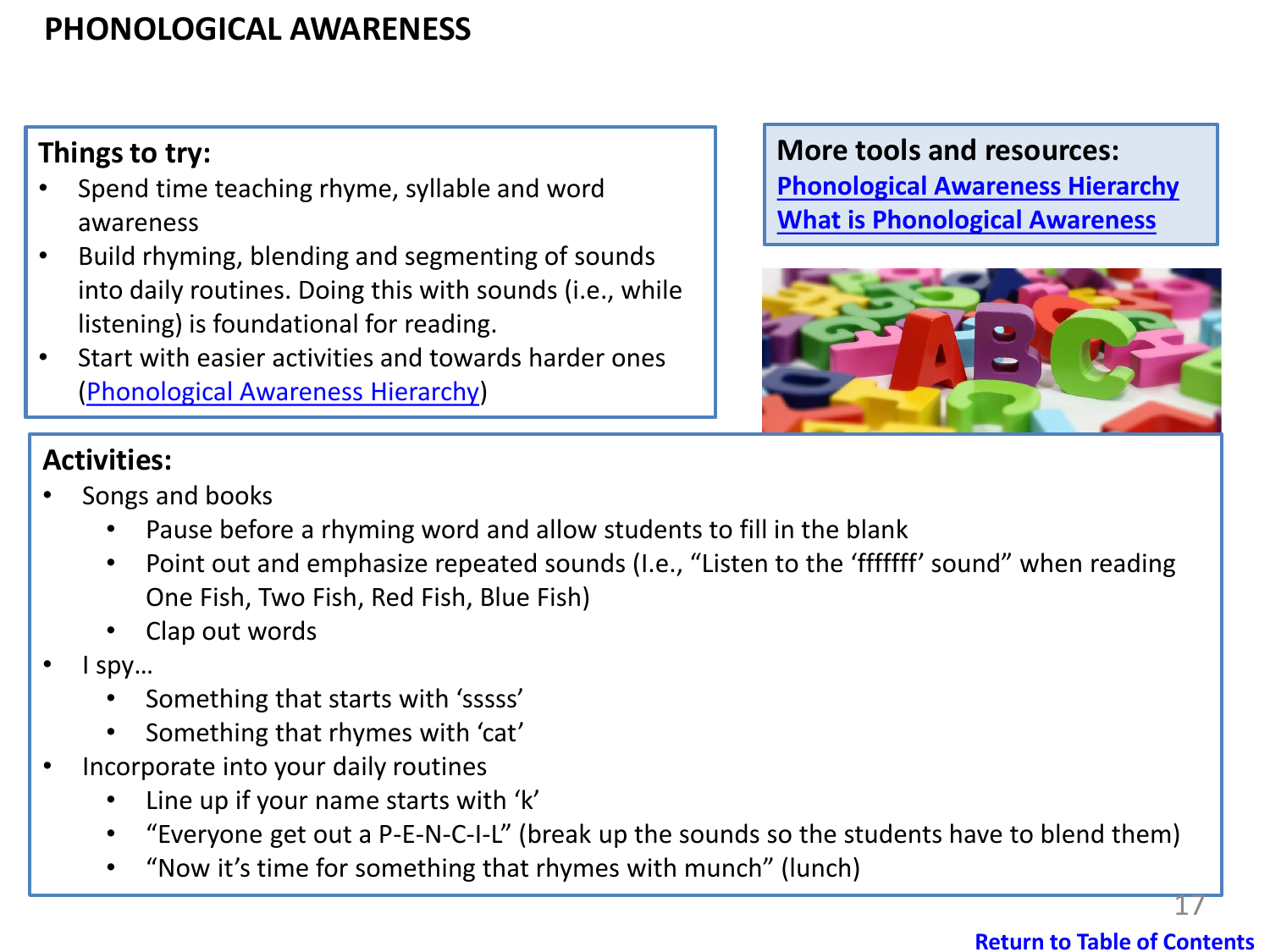## <span id="page-16-0"></span>**PHONOLOGICAL AWARENESS**

## **Things to try:**

- Spend time teaching rhyme, syllable and word awareness
- Build rhyming, blending and segmenting of sounds into daily routines. Doing this with sounds (i.e., while listening) is foundational for reading.
- Start with easier activities and towards harder ones [\(Phonological Awareness Hierarchy\)](https://swcss.ca/wp-content/uploads/2020/10/Phonological-Awareness-Hierarchy.pdf)

#### **More tools and resources:**

**[Phonological Awareness Hierarchy](https://swcss.ca/wp-content/uploads/2020/10/Phonological-Awareness-Hierarchy.pdf) [What is Phonological Awareness](https://swcss.ca/wp-content/uploads/2020/10/Phonological-Awareness-What-is-it.pdf)**



#### **Activities:**

- Songs and books
	- Pause before a rhyming word and allow students to fill in the blank
	- Point out and emphasize repeated sounds (I.e., "Listen to the 'fffffff' sound" when reading One Fish, Two Fish, Red Fish, Blue Fish)
	- Clap out words
- I spy…
	- Something that starts with 'sssss'
	- Something that rhymes with 'cat'
- Incorporate into your daily routines
	- Line up if your name starts with 'k'
	- "Everyone get out a P-E-N-C-I-L" (break up the sounds so the students have to blend them)
	- "Now it's time for something that rhymes with munch" (lunch)

#### **[Return to Table of Contents](#page-1-0)**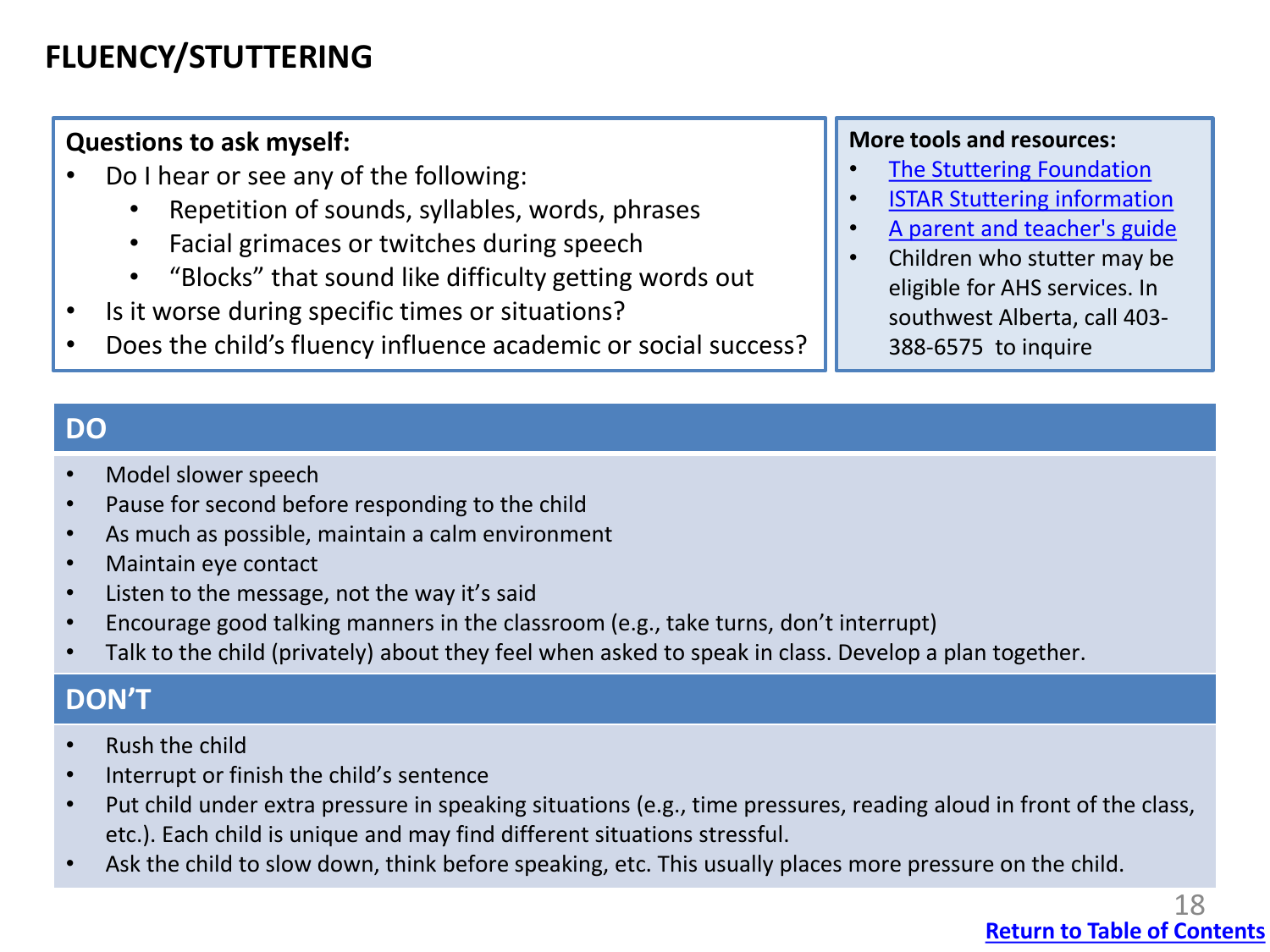## <span id="page-17-0"></span>**FLUENCY/STUTTERING**

#### **Questions to ask myself:**

- Do I hear or see any of the following:
	- Repetition of sounds, syllables, words, phrases
	- Facial grimaces or twitches during speech
	- "Blocks" that sound like difficulty getting words out
- Is it worse during specific times or situations?
- Does the child's fluency influence academic or social success?

#### **More tools and resources:**

- **[The Stuttering Foundation](https://www.stutteringhelp.org/)**
- [ISTAR Stuttering information](https://www.ualberta.ca/stuttering-speech-therapy/media-library/documents/istar-brochure-v4-web.pdf)
- [A parent and teacher's guide](https://swcss.ca/wp-content/uploads/2020/10/51_Stuttering.pdf)
- Children who stutter may be eligible for AHS services. In southwest Alberta, call 403- 388-6575 to inquire

#### **DO**

- Model slower speech
- Pause for second before responding to the child
- As much as possible, maintain a calm environment
- Maintain eye contact
- Listen to the message, not the way it's said
- Encourage good talking manners in the classroom (e.g., take turns, don't interrupt)
- Talk to the child (privately) about they feel when asked to speak in class. Develop a plan together.

#### **DON'T**

- Rush the child
- Interrupt or finish the child's sentence
- Put child under extra pressure in speaking situations (e.g., time pressures, reading aloud in front of the class, etc.). Each child is unique and may find different situations stressful.
- Ask the child to slow down, think before speaking, etc. This usually places more pressure on the child.